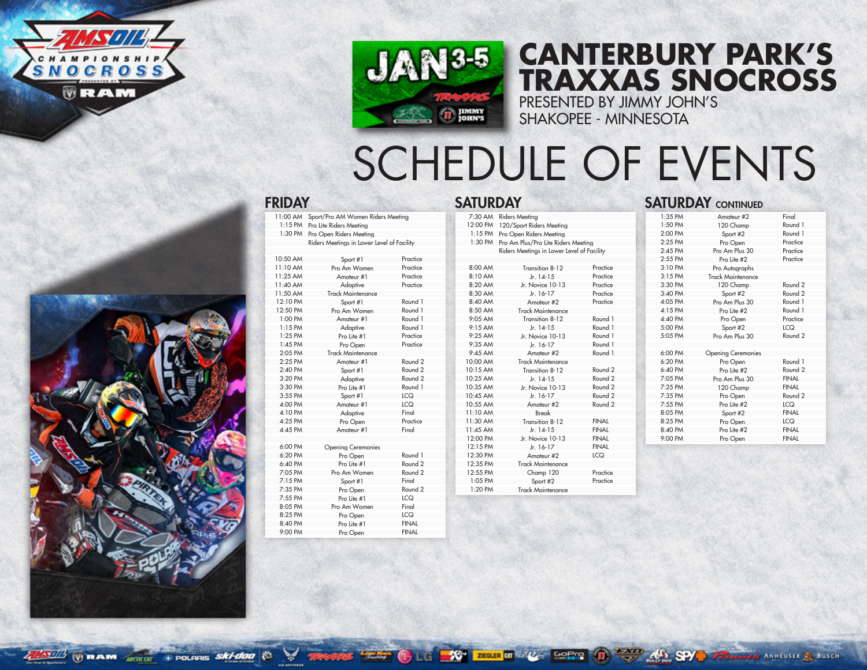



+ POLARIS SKI-doo

 $\sim$ 



## PRESENTED BY JIMMY JOHN'S **CANTERBURY PARK'S TRAXXAS SNOCROSS**

SHAKOPEE - MINNESOTA

## SCHEDULE OF EVENTS

|           |                           |                    |           | Kiders Meetings in Lower Level of Facility |                    |
|-----------|---------------------------|--------------------|-----------|--------------------------------------------|--------------------|
| 10:50 AM  | Sport #1                  | Practice           |           |                                            |                    |
| 11:10 AM  | Pro Am Women              | Practice           | 8:00 AM   | Transition 8-12                            | Practice           |
| 11:25 AM  | Amateur #1                | Practice           | 8:10 AM   | $Jr. 14-15$                                | Practice           |
| 11:40 AM  | Adaptive                  | Practice           | 8:20 AM   | Jr. Novice 10-13                           | Practice           |
| 11:50 AM  | Track Maintenance         |                    | 8:30 AM   | Jr. 16-17                                  | Practice           |
| 12:10 PM  | Sport #1                  | Round 1            | 8:40 AM   | Amateur #2                                 | Practice           |
| 12:50 PM  | Pro Am Women              | Round 1            | 8:50 AM   | <b>Track Maintenance</b>                   |                    |
| 1:00 PM   | Amateur #1                | Round 1            | 9:05 AM   | Transition 8-12                            | Round 1            |
| $1:15$ PM | Adaptive                  | Round 1            | 9:15AM    | Jr. $14-15$                                | Round 1            |
| 1:25 PM   | Pro Lite #1               | Practice           | 9:25 AM   | Jr. Novice 10-13                           | Round 1            |
| $1:45$ PM | Pro Open                  | Practice           | $9:35$ AM | $Jr. 16-17$                                | Round 1            |
| 2:05 PM   | <b>Track Maintenance</b>  |                    | 9:45 AM   | Amateur #2                                 | Round 1            |
| 2:25 PM   | Amateur #1                | Round <sub>2</sub> | 10:00 AM  | <b>Track Maintenance</b>                   |                    |
| 2:40 PM   | Sport #1                  | Round <sub>2</sub> | 10:15 AM  | Transition 8-12                            | Round <sub>2</sub> |
| 3:20 PM   | Adaptive                  | Round <sub>2</sub> | 10:25 AM  | Jr. $14-15$                                | Round <sub>2</sub> |
| 3:30 PM   | Pro Lite #1               | Round 1            | 10:35 AM  | Jr. Novice 10-13                           | Round <sub>2</sub> |
| 3:55 PM   | Sport #1                  | <b>LCQ</b>         | 10:45 AM  | Jr. 16-17                                  | Round <sub>2</sub> |
| 4:00 PM   | Amateur #1                | <b>LCQ</b>         | 10:55 AM  | Amateur #2                                 | Round <sub>2</sub> |
| 4:10 PM   | Adaptive                  | Final              | 11:10 AM  | Break                                      |                    |
| 4:25 PM   | Pro Open                  | Practice           | 11:30 AM  | Transition 8-12                            | <b>FINAL</b>       |
| 4:45 PM   | Amateur #1                | Final              | 11:45 AM  | Jr. 14-15                                  | <b>FINAL</b>       |
|           |                           |                    | 12:00 PM  | Jr. Novice 10-13                           | <b>FINAL</b>       |
| 6:00 PM   | <b>Opening Ceremonies</b> |                    | 12:15 PM  | Jr. 16-17                                  | <b>FINAL</b>       |
| 6:20 PM   | Pro Open                  | Round 1            | 12:30 PM  | Amateur #2                                 | <b>LCQ</b>         |
| 6:40 PM   | Pro Lite #1               | Round <sub>2</sub> | 12:35 PM  | Track Maintenance                          |                    |
| 7:05 PM   | Pro Am Women              | Round <sub>2</sub> | 12:55 PM  | Champ 120                                  | Practice           |
| 7:15 PM   | Sport #1                  | Final              | 1:05 PM   | Sport #2                                   | Practice           |
| 7:35 PM   | Pro Open                  | Round 2            | 1:20 PM   | <b>Track Maintenance</b>                   |                    |
| 7:55 PM   | Pro Lite #1               | <b>LCQ</b>         |           |                                            |                    |
| 8:05 PM   | Pro Am Women              | Final              |           |                                            |                    |
| 8:25 PM   | Pro Open                  | <b>LCQ</b>         |           |                                            |                    |
|           |                           |                    |           |                                            |                    |

8:40 PM Pro Lite #1 FINAI 9:00 PM Pro Open FINA

| <b>FRIDAY</b>                              |                                            |            | <b>SATURDAY</b>                             |                                            |                    |          | <b>SATURDAY CONTINUED</b> |                    |
|--------------------------------------------|--------------------------------------------|------------|---------------------------------------------|--------------------------------------------|--------------------|----------|---------------------------|--------------------|
|                                            | 11:00 AM Sport/Pro AM Women Riders Meeting |            |                                             | 7:30 AM Riders Meeting                     |                    | 1:35 PM  | Amateur #2                | Final              |
|                                            | 1:15 PM Pro Lite Riders Meeting            |            | 12:00 PM                                    | 120/Sport Riders Meeting                   |                    | 1:50 PM  | 120 Champ                 | Round 1            |
|                                            | 1:30 PM Pro Open Riders Meeting            |            |                                             | 1:15 PM Pro Open Riders Meeting            |                    | 2:00 PM  | Sport #2                  | Round 1            |
| Riders Meetings in Lower Level of Facility |                                            |            | 1:30 PM Pro Am Plus/Pro Lite Riders Meeting |                                            | 2:25 PM            | Pro Open | Practice                  |                    |
|                                            |                                            |            |                                             | Riders Meetings in Lower Level of Facility |                    | 2:45 PM  | Pro Am Plus 30            | Practice           |
| 10:50 AM                                   | Sport #1                                   | Practice   |                                             |                                            |                    | 2:55 PM  | Pro Lite #2               | Practice           |
| 11:10 AM                                   | Pro Am Women                               | Practice   | 8:00 AM                                     | Transition 8-12                            | Practice           | 3:10 PM  | Pro Autographs            |                    |
| 11:25 AM                                   | Amateur #1                                 | Practice   | 8:10 AM                                     | Jr. 14-15                                  | Practice           | 3:15 PM  | <b>Track Maintenance</b>  |                    |
| 11:40 AM                                   | Adaptive                                   | Practice   | 8:20 AM                                     | Jr. Novice 10-13                           | Practice           | 3:30 PM  | 120 Champ                 | Round <sub>2</sub> |
| 11:50 AM                                   | <b>Track Maintenance</b>                   |            | 8:30 AM                                     | Jr. 16-17                                  | Practice           | 3:40 PM  | Sport #2                  | Round <sub>2</sub> |
| 12:10 PM                                   | Sport #1                                   | Round 1    | 8:40 AM                                     | Amateur #2                                 | Practice           | 4:05 PM  | Pro Am Plus 30            | Round 1            |
| 12:50 PM                                   | Pro Am Women                               | Round 1    | 8:50 AM                                     | <b>Track Maintenance</b>                   |                    | 4:15 PM  | Pro Lite #2               | Round 1            |
| 1:00 PM                                    | Amateur #1                                 | Round 1    | 9:05 AM                                     | Transition 8-12                            | Round 1            | 4:40 PM  | Pro Open                  | Practice           |
| $1:15$ PM                                  | Adaptive                                   | Round 1    | 9:15AM                                      | Jr. 14-15                                  | Round 1            | 5:00 PM  | Sport #2                  | <b>LCQ</b>         |
| 1:25 PM                                    | Pro Lite #1                                | Practice   | 9:25 AM                                     | Jr. Novice 10-13                           | Round 1            | 5:05 PM  | Pro Am Plus 30            | Round <sub>2</sub> |
| 1:45 PM                                    | Pro Open                                   | Practice   | 9:35 AM                                     | Jr. 16-17                                  | Round 1            |          |                           |                    |
| 2:05 PM                                    | <b>Track Maintenance</b>                   |            | $9:45$ AM                                   | Amateur #2                                 | Round 1            | 6:00 PM  | <b>Opening Ceremonies</b> |                    |
| 2:25 PM                                    | Amateur #1                                 | Round 2    | 10:00 AM                                    | <b>Track Maintenance</b>                   |                    | 6:20 PM  | Pro Open                  | Round 1            |
| 2:40 PM                                    | Sport #1                                   | Round 2    | 10:15 AM                                    | Transition 8-12                            | Round 2            | 6:40 PM  | Pro Lite #2               | Round <sub>2</sub> |
| 3:20 PM                                    | Adaptive                                   | Round 2    | 10:25 AM                                    | Jr. 14-15                                  | Round <sub>2</sub> | 7:05 PM  | Pro Am Plus 30            | <b>FINAL</b>       |
| 3:30 PM                                    | Pro Lite #1                                | Round 1    | 10:35 AM                                    | Jr. Novice 10-13                           | Round 2            | 7:25 PM  | 120 Champ                 | <b>FINAL</b>       |
| 3:55 PM                                    | Sport #1                                   | <b>LCQ</b> | 10:45 AM                                    | Jr. 16-17                                  | Round 2            | 7:35 PM  | Pro Open                  | Round <sub>2</sub> |
| 4:00 PM                                    | Amateur #1                                 | <b>LCQ</b> | 10:55 AM                                    | Amateur #2                                 | Round 2            | 7:55 PM  | Pro Lite #2               | <b>LCQ</b>         |
| 4:10 PM                                    | Adaptive                                   | Final      | 11:10 AM                                    | Break                                      |                    | 8:05 PM  | Sport #2                  | <b>FINAL</b>       |
| 4:25 PM                                    | Pro Open                                   | Practice   | 11:30 AM                                    | Transition 8-12                            | <b>FINAL</b>       | 8:25 PM  | Pro Open                  | <b>LCQ</b>         |
| 4:45 PM                                    | Amateur #1                                 | Final      | 11:45 AM                                    | Jr. 14-15                                  | <b>FINAL</b>       | 8:40 PM  | Pro Lite #2               | <b>FINAL</b>       |
|                                            |                                            |            | 12:00 PM                                    | Jr. Novice 10-13                           | <b>FINAL</b>       | 9:00 PM  | Pro Open                  | <b>FINAL</b>       |
| 6:00 PM                                    | <b>Opening Ceremonies</b>                  |            | 12:15 PM                                    | Jr. 16-17                                  | <b>FINAL</b>       |          |                           |                    |
| 6:20 PM                                    | Pro Open                                   | Round 1    | 12:30 PM                                    | Amateur #2                                 | <b>LCQ</b>         |          |                           |                    |
| 6:40 PM                                    | Pro Lite #1                                | Round 2    | 12:35 PM                                    | <b>Track Maintenance</b>                   |                    |          |                           |                    |
| 7:05 PM                                    | Pro Am Women                               | Round 2    | 12:55 PM                                    | Champ 120                                  | Practice           |          |                           |                    |

| <b><i>ELENTRE WE BEEN</i></b> |
|-------------------------------|
|                               |